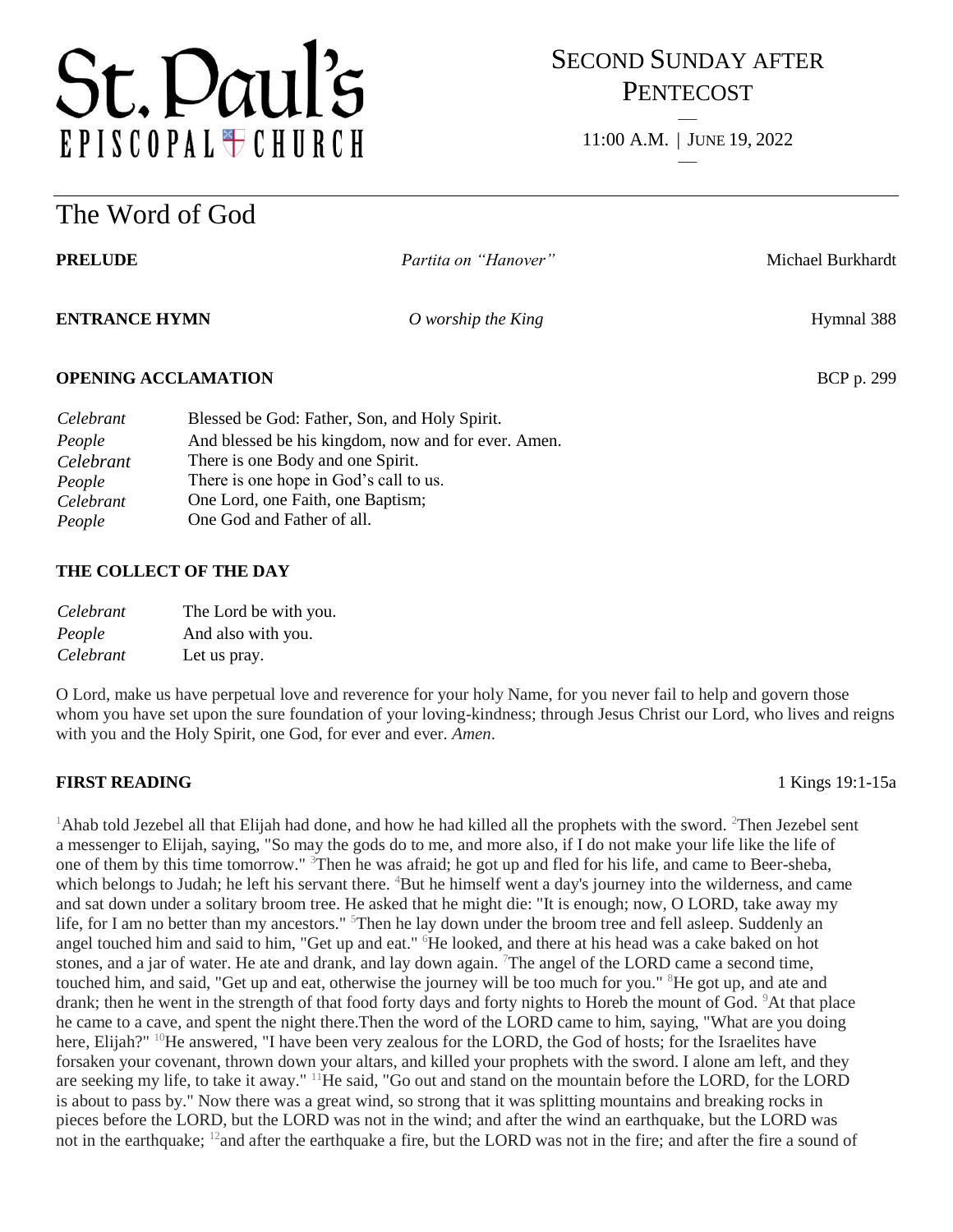# St. Paul's **EPISCOPAL CHURCH**

# SECOND SUNDAY AFTER **PENTECOST**

— 11:00 A.M. | JUNE 19, 2022 —

# The Word of God

| <b>PRELUDE</b>       |                            | Partita on "Hanover"                                                                                 | Michael Burkhardt |
|----------------------|----------------------------|------------------------------------------------------------------------------------------------------|-------------------|
| <b>ENTRANCE HYMN</b> |                            | O worship the King                                                                                   | Hymnal 388        |
|                      | <b>OPENING ACCLAMATION</b> |                                                                                                      | <b>BCP</b> p. 299 |
| Celebrant<br>People  |                            | Blessed be God: Father, Son, and Holy Spirit.<br>And blessed be his kingdom, now and for ever. Amen. |                   |

| People    | And blessed be his kingdom, now and for ever. Amen. |
|-----------|-----------------------------------------------------|
| Celebrant | There is one Body and one Spirit.                   |
| People    | There is one hope in God's call to us.              |
| Celebrant | One Lord, one Faith, one Baptism;                   |
| People    | One God and Father of all.                          |
|           |                                                     |

### **THE COLLECT OF THE DAY**

| Celebrant | The Lord be with you. |
|-----------|-----------------------|
| People    | And also with you.    |
| Celebrant | Let us pray.          |

O Lord, make us have perpetual love and reverence for your holy Name, for you never fail to help and govern those whom you have set upon the sure foundation of your loving-kindness; through Jesus Christ our Lord, who lives and reigns with you and the Holy Spirit, one God, for ever and ever. *Amen*.

### **FIRST READING** 1 Kings 19:1-15a

<sup>1</sup>Ahab told Jezebel all that Elijah had done, and how he had killed all the prophets with the sword. <sup>2</sup>Then Jezebel sent a messenger to Elijah, saying, "So may the gods do to me, and more also, if I do not make your life like the life of one of them by this time tomorrow." <sup>3</sup>Then he was afraid; he got up and fled for his life, and came to Beer-sheba, which belongs to Judah; he left his servant there. <sup>4</sup>But he himself went a day's journey into the wilderness, and came and sat down under a solitary broom tree. He asked that he might die: "It is enough; now, O LORD, take away my life, for I am no better than my ancestors." <sup>5</sup>Then he lay down under the broom tree and fell asleep. Suddenly an angel touched him and said to him, "Get up and eat." <sup>6</sup>He looked, and there at his head was a cake baked on hot stones, and a jar of water. He ate and drank, and lay down again. <sup>7</sup>The angel of the LORD came a second time, touched him, and said, "Get up and eat, otherwise the journey will be too much for you." <sup>8</sup>He got up, and ate and drank; then he went in the strength of that food forty days and forty nights to Horeb the mount of God. <sup>9</sup>At that place he came to a cave, and spent the night there.Then the word of the LORD came to him, saying, "What are you doing here, Elijah?" <sup>10</sup>He answered, "I have been very zealous for the LORD, the God of hosts; for the Israelites have forsaken your covenant, thrown down your altars, and killed your prophets with the sword. I alone am left, and they are seeking my life, to take it away."  $11$ He said, "Go out and stand on the mountain before the LORD, for the LORD is about to pass by." Now there was a great wind, so strong that it was splitting mountains and breaking rocks in pieces before the LORD, but the LORD was not in the wind; and after the wind an earthquake, but the LORD was not in the earthquake; <sup>12</sup> and after the earthquake a fire, but the LORD was not in the fire; and after the fire a sound of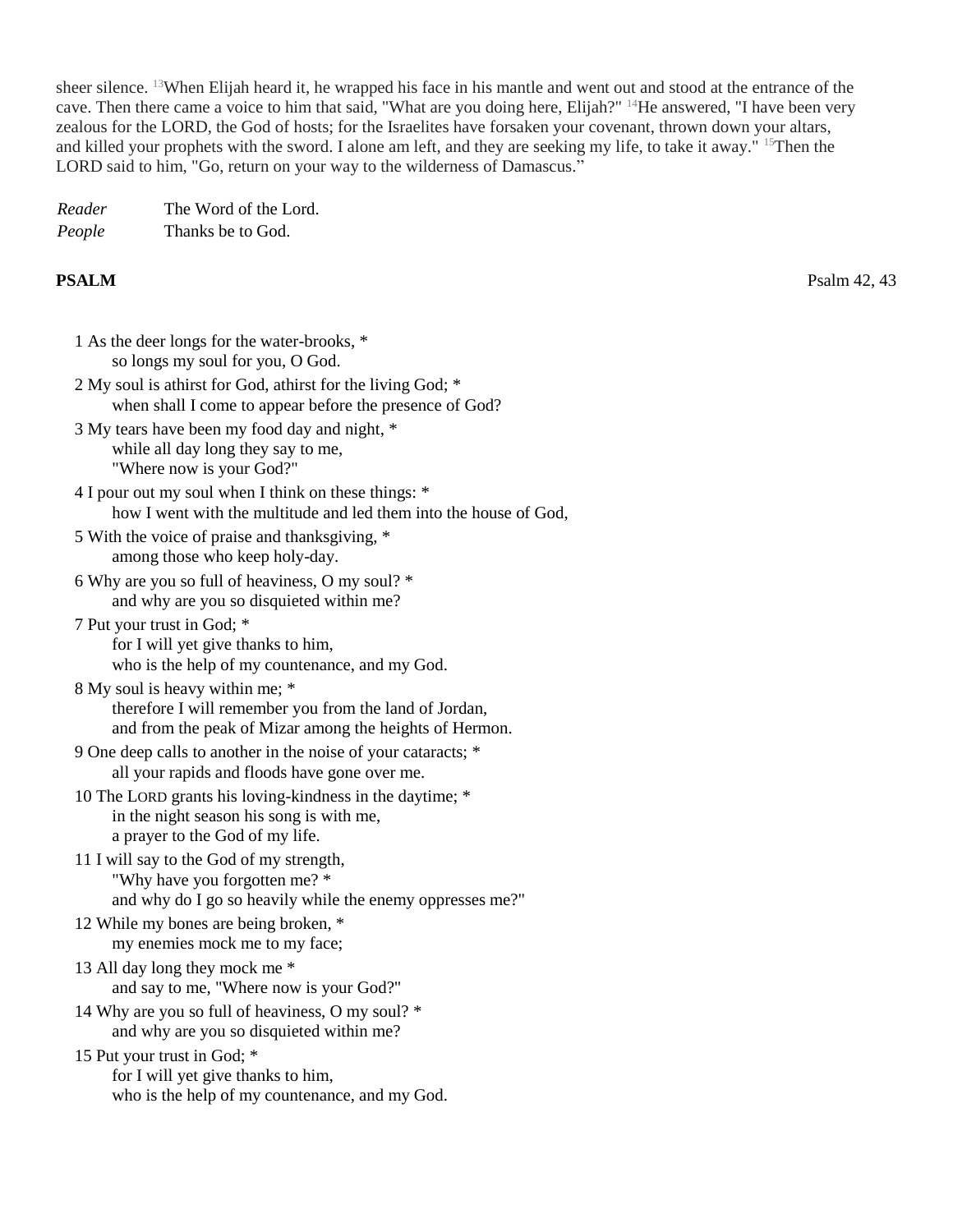sheer silence. <sup>13</sup>When Elijah heard it, he wrapped his face in his mantle and went out and stood at the entrance of the cave. Then there came a voice to him that said, "What are you doing here, Elijah?" <sup>14</sup>He answered, "I have been very zealous for the LORD, the God of hosts; for the Israelites have forsaken your covenant, thrown down your altars, and killed your prophets with the sword. I alone am left, and they are seeking my life, to take it away." <sup>15</sup>Then the LORD said to him, "Go, return on your way to the wilderness of Damascus."

| Reader | The Word of the Lord. |
|--------|-----------------------|
| People | Thanks be to God.     |

**PSALM** Psalm 42, 43

| 1 As the deer longs for the water-brooks, *<br>so longs my soul for you, O God.                                                                      |
|------------------------------------------------------------------------------------------------------------------------------------------------------|
| 2 My soul is athirst for God, athirst for the living God; *<br>when shall I come to appear before the presence of God?                               |
| 3 My tears have been my food day and night, *<br>while all day long they say to me,<br>"Where now is your God?"                                      |
| 4 I pour out my soul when I think on these things: *<br>how I went with the multitude and led them into the house of God,                            |
| 5 With the voice of praise and thanksgiving, *<br>among those who keep holy-day.                                                                     |
| 6 Why are you so full of heaviness, O my soul? *<br>and why are you so disquieted within me?                                                         |
| 7 Put your trust in God; *<br>for I will yet give thanks to him,<br>who is the help of my countenance, and my God.                                   |
| 8 My soul is heavy within me; *<br>therefore I will remember you from the land of Jordan,<br>and from the peak of Mizar among the heights of Hermon. |
| 9 One deep calls to another in the noise of your cataracts; *<br>all your rapids and floods have gone over me.                                       |
| 10 The LORD grants his loving-kindness in the daytime; *<br>in the night season his song is with me,<br>a prayer to the God of my life.              |
| 11 I will say to the God of my strength,<br>"Why have you forgotten me? *<br>and why do I go so heavily while the enemy oppresses me?"               |
| 12 While my bones are being broken, *<br>my enemies mock me to my face;                                                                              |
| 13 All day long they mock me *<br>and say to me, "Where now is your God?"                                                                            |
| 14 Why are you so full of heaviness, O my soul? *<br>and why are you so disquieted within me?                                                        |
| 15 Put your trust in God; *<br>for I will yet give thanks to him,<br>who is the help of my countenance, and my God.                                  |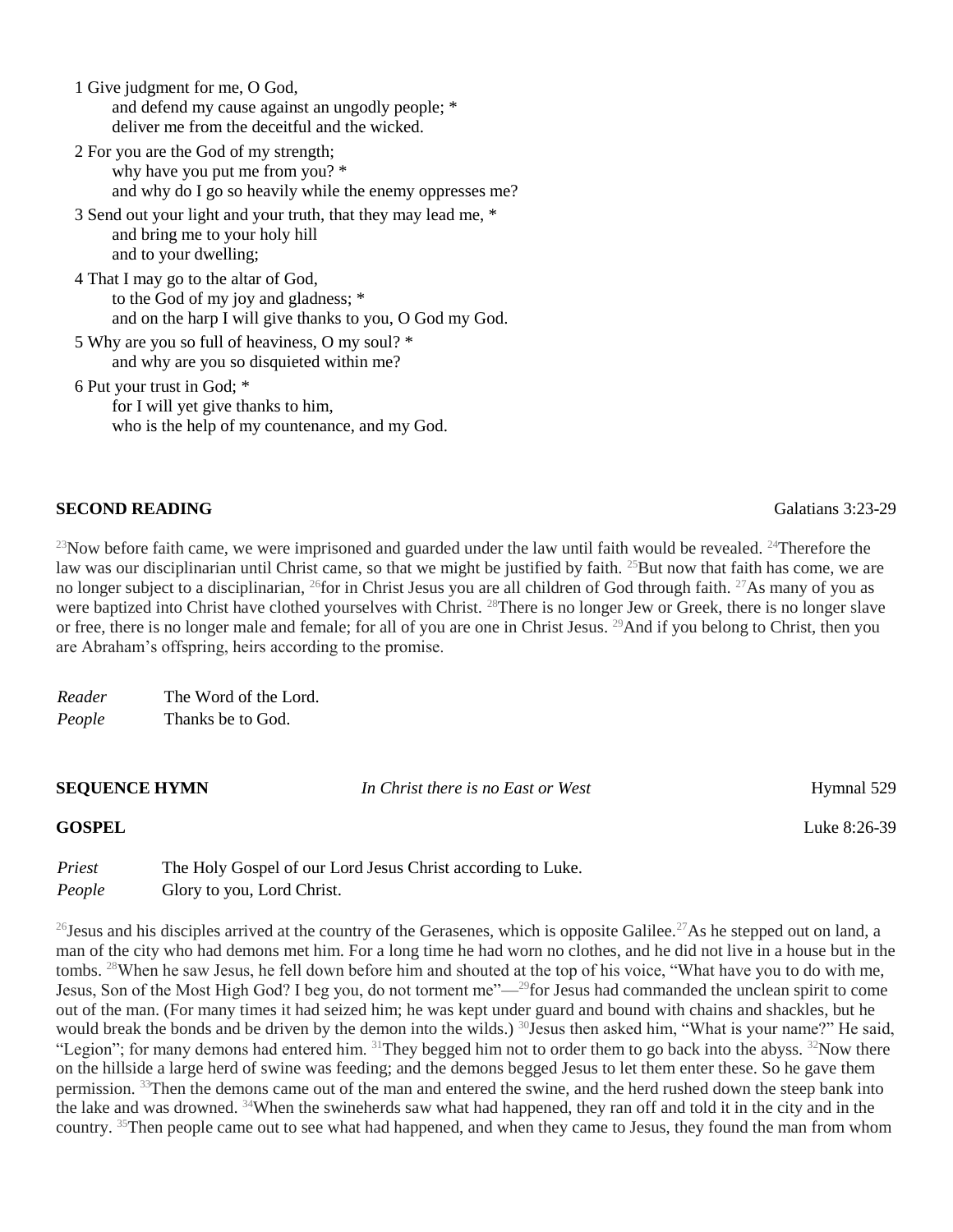| 1 Give judgment for me, O God,<br>and defend my cause against an ungodly people; *<br>deliver me from the deceitful and the wicked.      |
|------------------------------------------------------------------------------------------------------------------------------------------|
| 2 For you are the God of my strength;<br>why have you put me from you? *<br>and why do I go so heavily while the enemy oppresses me?     |
| 3 Send out your light and your truth, that they may lead me, *<br>and bring me to your holy hill<br>and to your dwelling;                |
| 4 That I may go to the altar of God,<br>to the God of my joy and gladness; *<br>and on the harp I will give thanks to you, O God my God. |
| 5 Why are you so full of heaviness, O my soul? *<br>and why are you so disquieted within me?                                             |
| 6 Put your trust in God; *<br>for I will yet give thanks to him,<br>who is the help of my countenance, and my God.                       |

#### **SECOND READING** Galatians 3:23-29

 $23$ Now before faith came, we were imprisoned and guarded under the law until faith would be revealed.  $24$ Therefore the law was our disciplinarian until Christ came, so that we might be justified by faith.  $^{25}$ But now that faith has come, we are no longer subject to a disciplinarian, <sup>26</sup>for in Christ Jesus you are all children of God through faith. <sup>27</sup>As many of you as were baptized into Christ have clothed yourselves with Christ. <sup>28</sup>There is no longer Jew or Greek, there is no longer slave or free, there is no longer male and female; for all of you are one in Christ Jesus. <sup>29</sup>And if you belong to Christ, then you are Abraham's offspring, heirs according to the promise.

| Reader | The Word of the Lord. |
|--------|-----------------------|
| People | Thanks be to God.     |

**SEQUENCE HYMN** *In Christ there is no East or West* Hymnal 529

**GOSPEL** Luke 8:26-39

| Priest | The Holy Gospel of our Lord Jesus Christ according to Luke. |
|--------|-------------------------------------------------------------|
| People | Glory to you, Lord Christ.                                  |

<sup>26</sup>Jesus and his disciples arrived at the country of the Gerasenes, which is opposite Galilee.<sup>27</sup>As he stepped out on land, a man of the city who had demons met him. For a long time he had worn no clothes, and he did not live in a house but in the tombs. <sup>28</sup>When he saw Jesus, he fell down before him and shouted at the top of his voice, "What have you to do with me, Jesus, Son of the Most High God? I beg you, do not torment me"—<sup>29</sup>for Jesus had commanded the unclean spirit to come out of the man. (For many times it had seized him; he was kept under guard and bound with chains and shackles, but he would break the bonds and be driven by the demon into the wilds.) <sup>30</sup>Jesus then asked him, "What is your name?" He said, "Legion"; for many demons had entered him.  $31$ They begged him not to order them to go back into the abyss.  $32$ Now there on the hillside a large herd of swine was feeding; and the demons begged Jesus to let them enter these. So he gave them permission. <sup>33</sup>Then the demons came out of the man and entered the swine, and the herd rushed down the steep bank into the lake and was drowned. <sup>34</sup>When the swineherds saw what had happened, they ran off and told it in the city and in the country. <sup>35</sup>Then people came out to see what had happened, and when they came to Jesus, they found the man from whom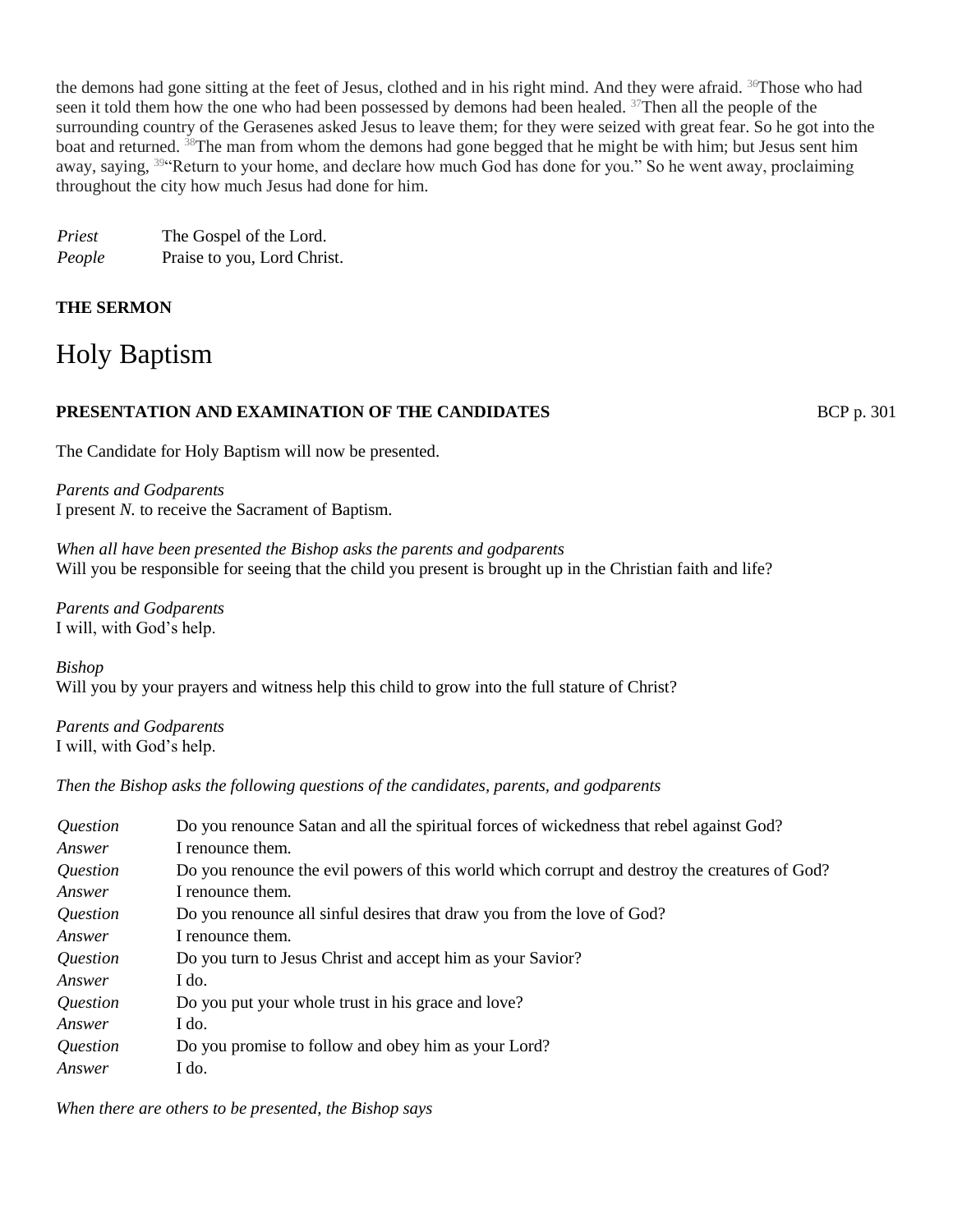the demons had gone sitting at the feet of Jesus, clothed and in his right mind. And they were afraid. <sup>36</sup>Those who had seen it told them how the one who had been possessed by demons had been healed. <sup>37</sup>Then all the people of the surrounding country of the Gerasenes asked Jesus to leave them; for they were seized with great fear. So he got into the boat and returned. <sup>38</sup>The man from whom the demons had gone begged that he might be with him; but Jesus sent him away, saying, <sup>394</sup> Return to your home, and declare how much God has done for you." So he went away, proclaiming throughout the city how much Jesus had done for him.

| Priest | The Gospel of the Lord.     |
|--------|-----------------------------|
| People | Praise to you, Lord Christ. |

### **THE SERMON**

# Holy Baptism

### **PRESENTATION AND EXAMINATION OF THE CANDIDATES** BCP p. 301

The Candidate for Holy Baptism will now be presented.

*Parents and Godparents* I present *N.* to receive the Sacrament of Baptism.

*When all have been presented the Bishop asks the parents and godparents* Will you be responsible for seeing that the child you present is brought up in the Christian faith and life?

*Parents and Godparents* I will, with God's help.

*Bishop* Will you by your prayers and witness help this child to grow into the full stature of Christ?

*Parents and Godparents* I will, with God's help.

*Then the Bishop asks the following questions of the candidates, parents, and godparents*

| Question | Do you renounce Satan and all the spiritual forces of wickedness that rebel against God?      |
|----------|-----------------------------------------------------------------------------------------------|
| Answer   | I renounce them.                                                                              |
| Question | Do you renounce the evil powers of this world which corrupt and destroy the creatures of God? |
| Answer   | I renounce them.                                                                              |
| Question | Do you renounce all sinful desires that draw you from the love of God?                        |
| Answer   | I renounce them.                                                                              |
| Question | Do you turn to Jesus Christ and accept him as your Savior?                                    |
| Answer   | I do.                                                                                         |
| Question | Do you put your whole trust in his grace and love?                                            |
| Answer   | I do.                                                                                         |
| Question | Do you promise to follow and obey him as your Lord?                                           |
| Answer   | I do.                                                                                         |

*When there are others to be presented, the Bishop says*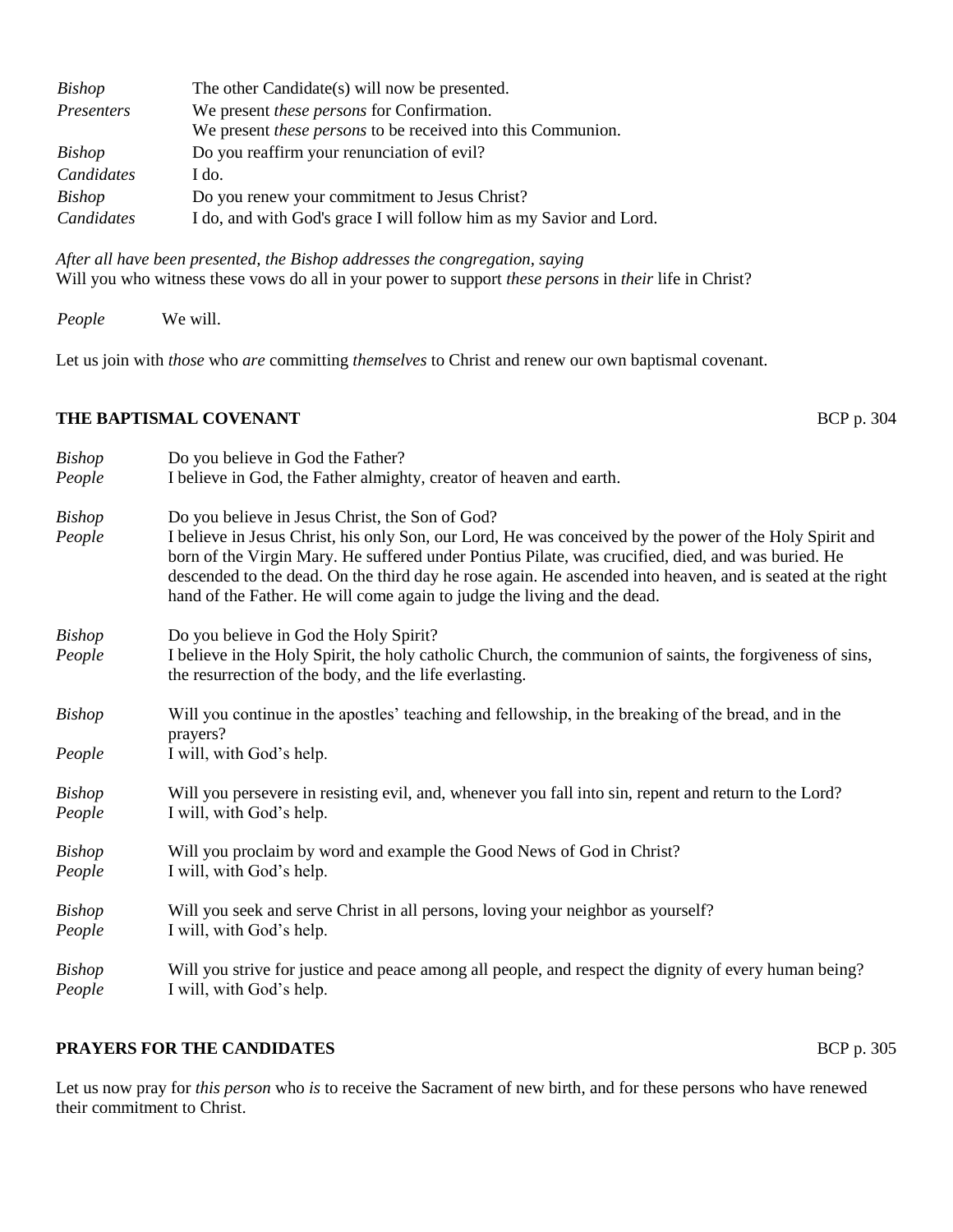| <b>Bishop</b> | The other Candidate(s) will now be presented.                       |
|---------------|---------------------------------------------------------------------|
| Presenters    | We present <i>these persons</i> for Confirmation.                   |
|               | We present <i>these persons</i> to be received into this Communion. |
| <b>Bishop</b> | Do you reaffirm your renunciation of evil?                          |
| Candidates    | I do.                                                               |
| <b>Bishop</b> | Do you renew your commitment to Jesus Christ?                       |
| Candidates    | I do, and with God's grace I will follow him as my Savior and Lord. |

*After all have been presented, the Bishop addresses the congregation, saying* Will you who witness these vows do all in your power to support *these persons* in *their* life in Christ?

Let us join with *those* who *are* committing *themselves* to Christ and renew our own baptismal covenant.

### **THE BAPTISMAL COVENANT** BCP p. 304

| <b>Bishop</b>           | Do you believe in God the Father?                                                                                                                                                                                                                                                                                                                                                                                                                          |  |  |
|-------------------------|------------------------------------------------------------------------------------------------------------------------------------------------------------------------------------------------------------------------------------------------------------------------------------------------------------------------------------------------------------------------------------------------------------------------------------------------------------|--|--|
| People                  | I believe in God, the Father almighty, creator of heaven and earth.                                                                                                                                                                                                                                                                                                                                                                                        |  |  |
| <b>Bishop</b><br>People | Do you believe in Jesus Christ, the Son of God?<br>I believe in Jesus Christ, his only Son, our Lord, He was conceived by the power of the Holy Spirit and<br>born of the Virgin Mary. He suffered under Pontius Pilate, was crucified, died, and was buried. He<br>descended to the dead. On the third day he rose again. He ascended into heaven, and is seated at the right<br>hand of the Father. He will come again to judge the living and the dead. |  |  |
| <b>Bishop</b><br>People | Do you believe in God the Holy Spirit?<br>I believe in the Holy Spirit, the holy catholic Church, the communion of saints, the forgiveness of sins,<br>the resurrection of the body, and the life everlasting.                                                                                                                                                                                                                                             |  |  |
| <b>Bishop</b>           | Will you continue in the apostles' teaching and fellowship, in the breaking of the bread, and in the<br>prayers?                                                                                                                                                                                                                                                                                                                                           |  |  |
| People                  | I will, with God's help.                                                                                                                                                                                                                                                                                                                                                                                                                                   |  |  |
| <b>Bishop</b>           | Will you persevere in resisting evil, and, whenever you fall into sin, repent and return to the Lord?                                                                                                                                                                                                                                                                                                                                                      |  |  |
| People                  | I will, with God's help.                                                                                                                                                                                                                                                                                                                                                                                                                                   |  |  |
| <b>Bishop</b>           | Will you proclaim by word and example the Good News of God in Christ?                                                                                                                                                                                                                                                                                                                                                                                      |  |  |
| People                  | I will, with God's help.                                                                                                                                                                                                                                                                                                                                                                                                                                   |  |  |
| <b>Bishop</b>           | Will you seek and serve Christ in all persons, loving your neighbor as yourself?                                                                                                                                                                                                                                                                                                                                                                           |  |  |
| People                  | I will, with God's help.                                                                                                                                                                                                                                                                                                                                                                                                                                   |  |  |
| <b>Bishop</b>           | Will you strive for justice and peace among all people, and respect the dignity of every human being?                                                                                                                                                                                                                                                                                                                                                      |  |  |
| People                  | I will, with God's help.                                                                                                                                                                                                                                                                                                                                                                                                                                   |  |  |

#### **PRAYERS FOR THE CANDIDATES** BCP p. 305

Let us now pray for *this person* who *is* to receive the Sacrament of new birth, and for these persons who have renewed their commitment to Christ.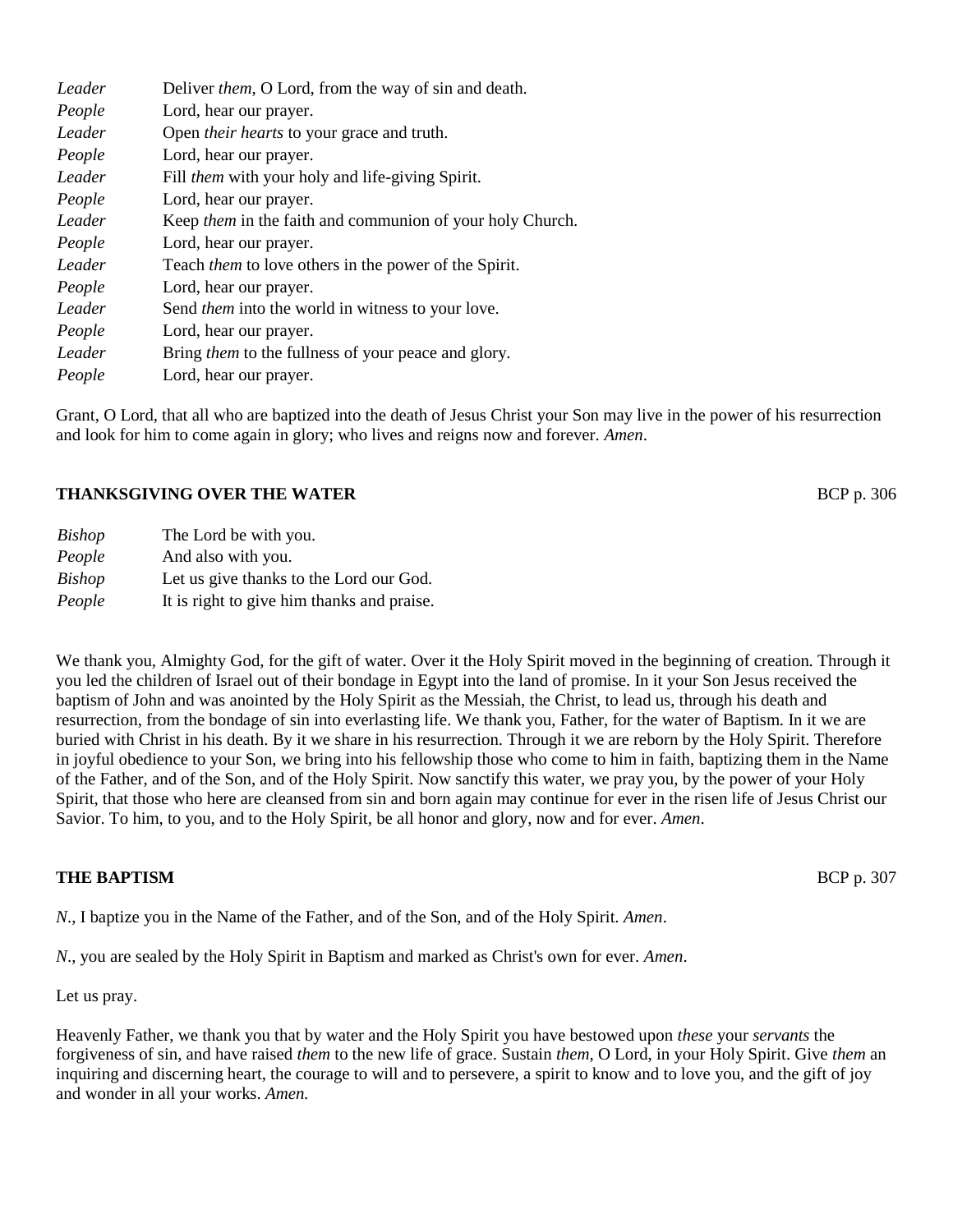| Leader | Deliver them, O Lord, from the way of sin and death.             |
|--------|------------------------------------------------------------------|
| People | Lord, hear our prayer.                                           |
| Leader | Open <i>their hearts</i> to your grace and truth.                |
| People | Lord, hear our prayer.                                           |
| Leader | Fill <i>them</i> with your holy and life-giving Spirit.          |
| People | Lord, hear our prayer.                                           |
| Leader | Keep <i>them</i> in the faith and communion of your holy Church. |
| People | Lord, hear our prayer.                                           |
| Leader | Teach <i>them</i> to love others in the power of the Spirit.     |
| People | Lord, hear our prayer.                                           |
| Leader | Send <i>them</i> into the world in witness to your love.         |
| People | Lord, hear our prayer.                                           |
| Leader | Bring <i>them</i> to the fullness of your peace and glory.       |
| People | Lord, hear our prayer.                                           |

Grant, O Lord, that all who are baptized into the death of Jesus Christ your Son may live in the power of his resurrection and look for him to come again in glory; who lives and reigns now and forever. *Amen*.

#### **THANKSGIVING OVER THE WATER BCP** p. 306

*Bishop* The Lord be with you. *People* And also with you. *Bishop* Let us give thanks to the Lord our God. *People* It is right to give him thanks and praise.

We thank you, Almighty God, for the gift of water. Over it the Holy Spirit moved in the beginning of creation. Through it you led the children of Israel out of their bondage in Egypt into the land of promise. In it your Son Jesus received the baptism of John and was anointed by the Holy Spirit as the Messiah, the Christ, to lead us, through his death and resurrection, from the bondage of sin into everlasting life. We thank you, Father, for the water of Baptism. In it we are buried with Christ in his death. By it we share in his resurrection. Through it we are reborn by the Holy Spirit. Therefore in joyful obedience to your Son, we bring into his fellowship those who come to him in faith, baptizing them in the Name of the Father, and of the Son, and of the Holy Spirit. Now sanctify this water, we pray you, by the power of your Holy Spirit, that those who here are cleansed from sin and born again may continue for ever in the risen life of Jesus Christ our Savior. To him, to you, and to the Holy Spirit, be all honor and glory, now and for ever. *Amen*.

#### **THE BAPTISM** BCP p. 307

*N*., I baptize you in the Name of the Father, and of the Son, and of the Holy Spirit. *Amen*.

*N*., you are sealed by the Holy Spirit in Baptism and marked as Christ's own for ever. *Amen*.

Let us pray.

Heavenly Father, we thank you that by water and the Holy Spirit you have bestowed upon *these* your *servants* the forgiveness of sin, and have raised *them* to the new life of grace. Sustain *them*, O Lord, in your Holy Spirit. Give *them* an inquiring and discerning heart, the courage to will and to persevere, a spirit to know and to love you, and the gift of joy and wonder in all your works. *Amen.*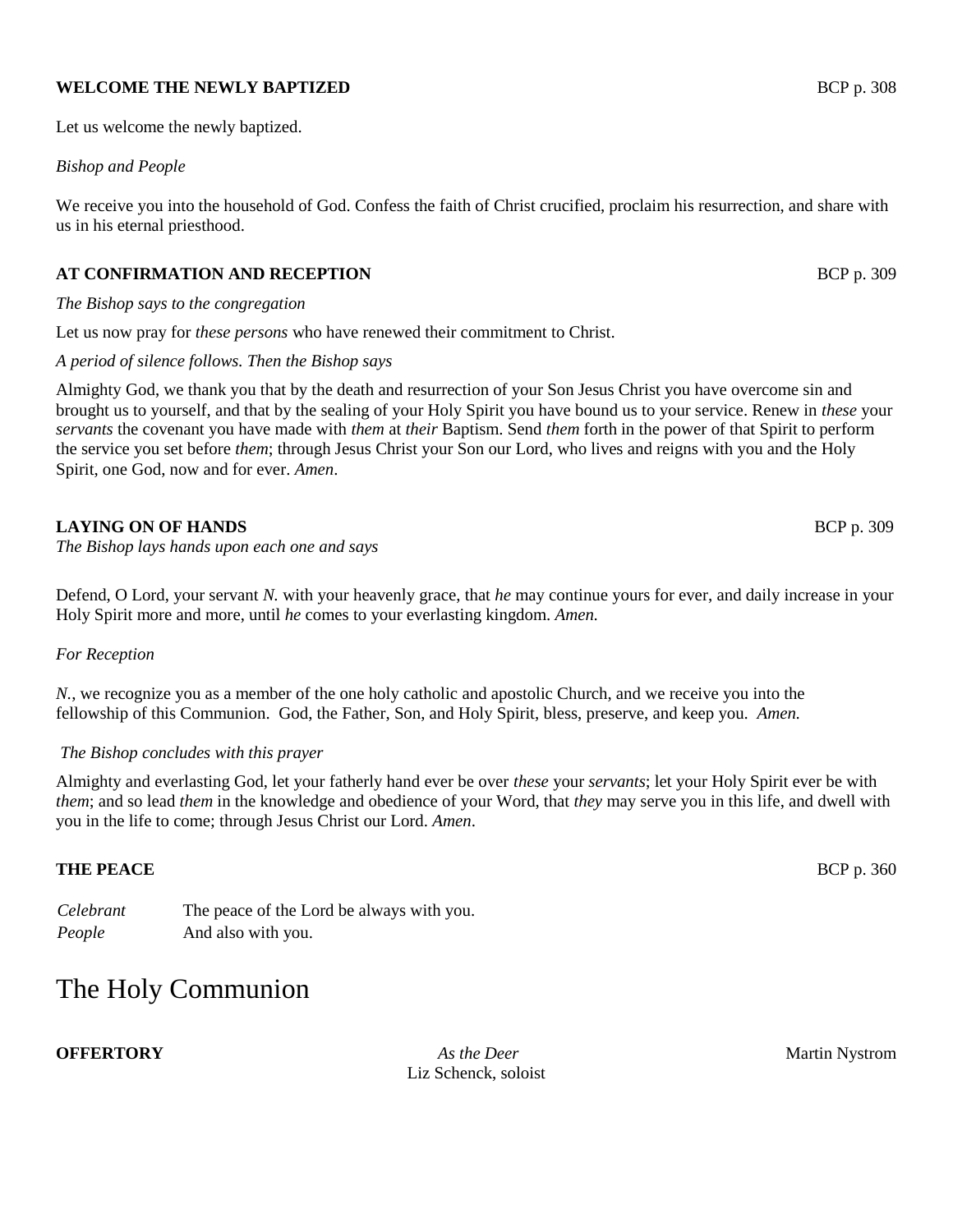#### **WELCOME THE NEWLY BAPTIZED** BCP p. 308

Let us welcome the newly baptized.

#### *Bishop and People*

We receive you into the household of God. Confess the faith of Christ crucified, proclaim his resurrection, and share with us in his eternal priesthood.

#### **AT CONFIRMATION AND RECEPTION BCP** p. 309

*The Bishop says to the congregation*

Let us now pray for *these persons* who have renewed their commitment to Christ.

#### *A period of silence follows. Then the Bishop says*

Almighty God, we thank you that by the death and resurrection of your Son Jesus Christ you have overcome sin and brought us to yourself, and that by the sealing of your Holy Spirit you have bound us to your service. Renew in *these* your *servants* the covenant you have made with *them* at *their* Baptism. Send *them* forth in the power of that Spirit to perform the service you set before *them*; through Jesus Christ your Son our Lord, who lives and reigns with you and the Holy Spirit, one God, now and for ever. *Amen*.

#### **LAYING ON OF HANDS BCP** p. 309

*The Bishop lays hands upon each one and says*

Defend, O Lord, your servant *N.* with your heavenly grace, that *he* may continue yours for ever, and daily increase in your Holy Spirit more and more, until *he* comes to your everlasting kingdom. *Amen.*

*For Reception*

*N.*, we recognize you as a member of the one holy catholic and apostolic Church, and we receive you into the fellowship of this Communion. God, the Father, Son, and Holy Spirit, bless, preserve, and keep you. *Amen.*

#### *The Bishop concludes with this prayer*

Almighty and everlasting God, let your fatherly hand ever be over *these* your *servants*; let your Holy Spirit ever be with *them*; and so lead *them* in the knowledge and obedience of your Word, that *they* may serve you in this life, and dwell with you in the life to come; through Jesus Christ our Lord. *Amen*.

#### **THE PEACE** BCP p. 360

*Celebrant* The peace of the Lord be always with you. *People* And also with you.

# The Holy Communion

**OFFERTORY** *As the Deer* Martin Nystrom Liz Schenck, soloist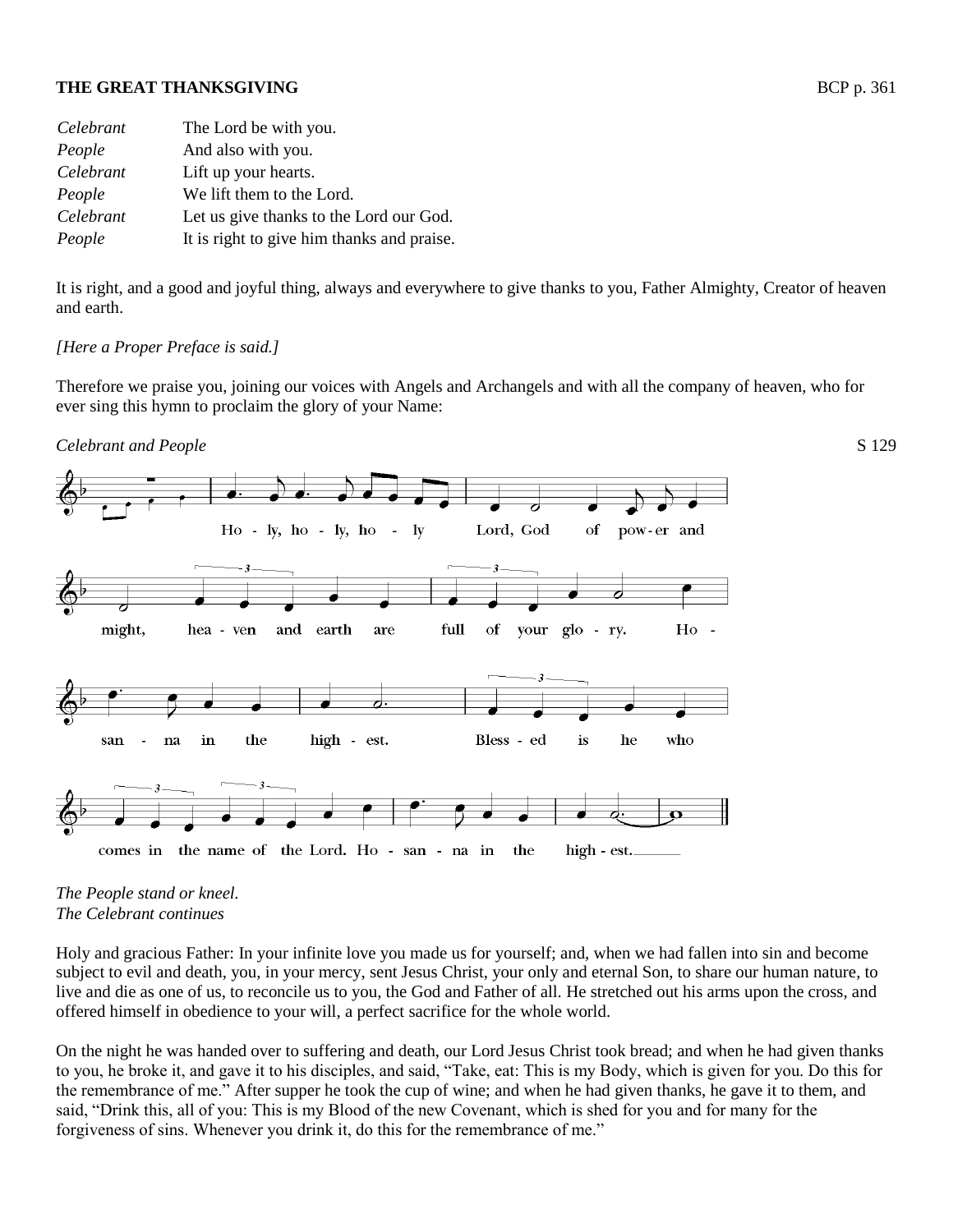#### **THE GREAT THANKSGIVING** BCP p. 361

| Celebrant | The Lord be with you.                      |
|-----------|--------------------------------------------|
| People    | And also with you.                         |
| Celebrant | Lift up your hearts.                       |
| People    | We lift them to the Lord.                  |
| Celebrant | Let us give thanks to the Lord our God.    |
| People    | It is right to give him thanks and praise. |

It is right, and a good and joyful thing, always and everywhere to give thanks to you, Father Almighty, Creator of heaven and earth.

#### *[Here a Proper Preface is said.]*

Therefore we praise you, joining our voices with Angels and Archangels and with all the company of heaven, who for ever sing this hymn to proclaim the glory of your Name:



#### *The People stand or kneel. The Celebrant continues*

Holy and gracious Father: In your infinite love you made us for yourself; and, when we had fallen into sin and become subject to evil and death, you, in your mercy, sent Jesus Christ, your only and eternal Son, to share our human nature, to live and die as one of us, to reconcile us to you, the God and Father of all. He stretched out his arms upon the cross, and offered himself in obedience to your will, a perfect sacrifice for the whole world.

On the night he was handed over to suffering and death, our Lord Jesus Christ took bread; and when he had given thanks to you, he broke it, and gave it to his disciples, and said, "Take, eat: This is my Body, which is given for you. Do this for the remembrance of me." After supper he took the cup of wine; and when he had given thanks, he gave it to them, and said, "Drink this, all of you: This is my Blood of the new Covenant, which is shed for you and for many for the forgiveness of sins. Whenever you drink it, do this for the remembrance of me."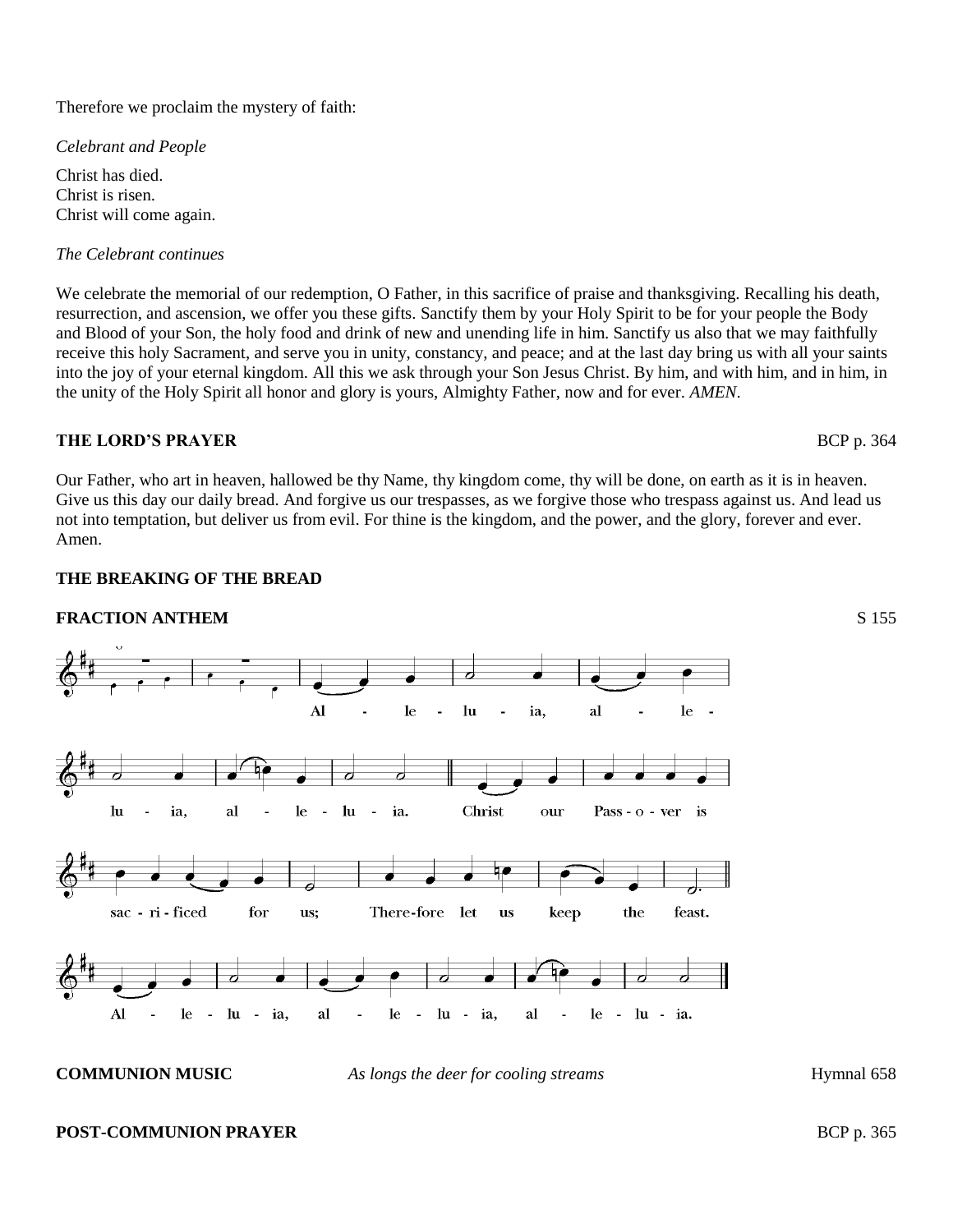**POST-COMMUNION PRAYER** BCP p. 365

## *Celebrant and People*

Therefore we proclaim the mystery of faith:

Christ has died. Christ is risen. Christ will come again.

#### *The Celebrant continues*

We celebrate the memorial of our redemption, O Father, in this sacrifice of praise and thanksgiving. Recalling his death, resurrection, and ascension, we offer you these gifts. Sanctify them by your Holy Spirit to be for your people the Body and Blood of your Son, the holy food and drink of new and unending life in him. Sanctify us also that we may faithfully receive this holy Sacrament, and serve you in unity, constancy, and peace; and at the last day bring us with all your saints into the joy of your eternal kingdom. All this we ask through your Son Jesus Christ. By him, and with him, and in him, in the unity of the Holy Spirit all honor and glory is yours, Almighty Father, now and for ever. *AMEN*.

#### **THE LORD'S PRAYER** BCP p. 364

Our Father, who art in heaven, hallowed be thy Name, thy kingdom come, thy will be done, on earth as it is in heaven. Give us this day our daily bread. And forgive us our trespasses, as we forgive those who trespass against us. And lead us not into temptation, but deliver us from evil. For thine is the kingdom, and the power, and the glory, forever and ever. Amen.

#### **THE BREAKING OF THE BREAD**



**COMMUNION MUSIC** *As longs the deer for cooling streams* **Hymnal 658**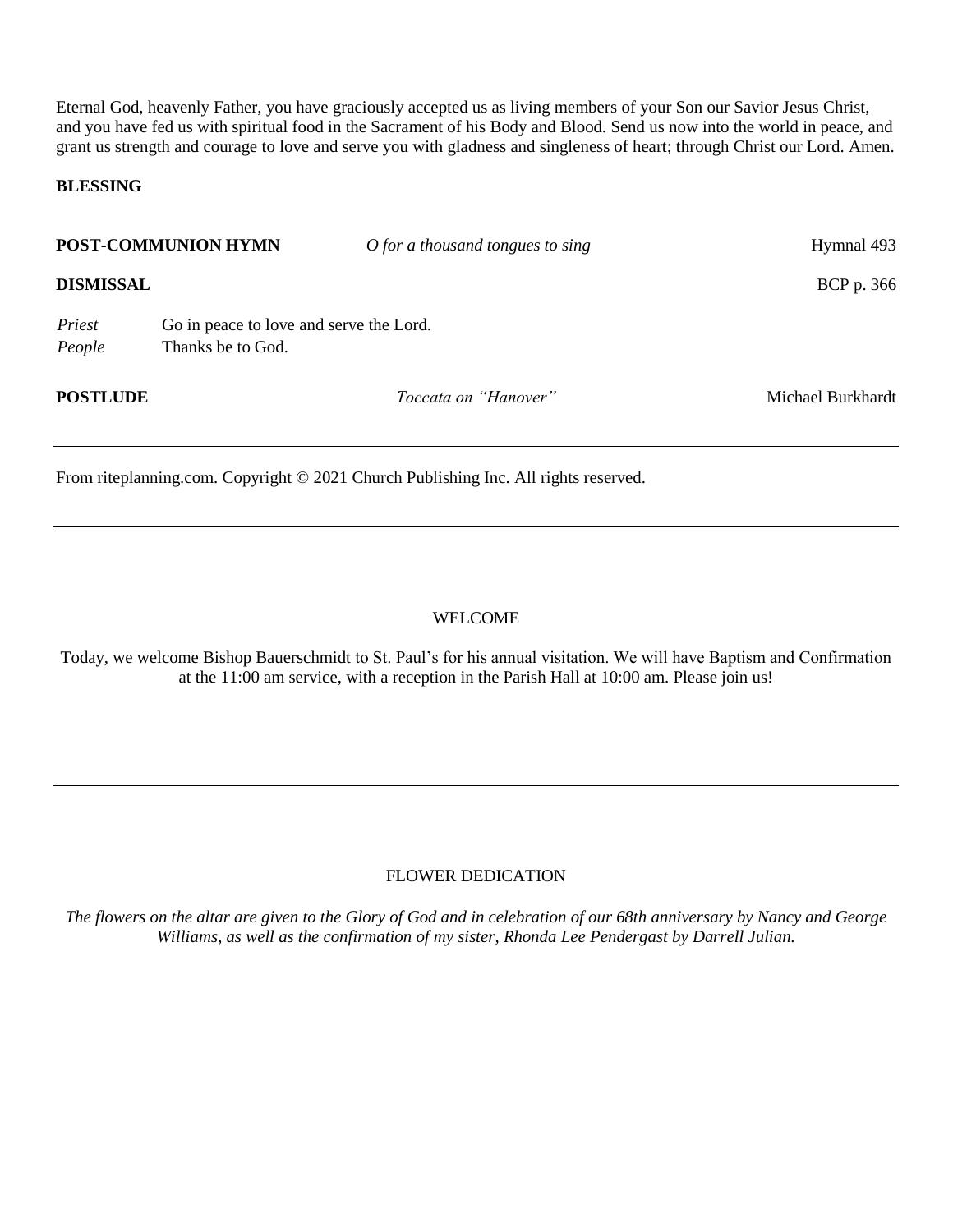Eternal God, heavenly Father, you have graciously accepted us as living members of your Son our Savior Jesus Christ, and you have fed us with spiritual food in the Sacrament of his Body and Blood. Send us now into the world in peace, and grant us strength and courage to love and serve you with gladness and singleness of heart; through Christ our Lord. Amen.

#### **BLESSING**

| POST-COMMUNION HYMN |                                                              | $O$ for a thousand tongues to sing | Hymnal 493        |
|---------------------|--------------------------------------------------------------|------------------------------------|-------------------|
| <b>DISMISSAL</b>    |                                                              |                                    | <b>BCP</b> p. 366 |
| Priest<br>People    | Go in peace to love and serve the Lord.<br>Thanks be to God. |                                    |                   |
| <b>POSTLUDE</b>     |                                                              | Toccata on "Hanover"               | Michael Burkhardt |
|                     |                                                              |                                    |                   |

From riteplanning.com. Copyright © 2021 Church Publishing Inc. All rights reserved.

#### WELCOME

Today, we welcome Bishop Bauerschmidt to St. Paul's for his annual visitation. We will have Baptism and Confirmation at the 11:00 am service, with a reception in the Parish Hall at 10:00 am. Please join us!

#### FLOWER DEDICATION

*The flowers on the altar are given to the Glory of God and in celebration of our 68th anniversary by Nancy and George Williams, as well as the confirmation of my sister, Rhonda Lee Pendergast by Darrell Julian.*